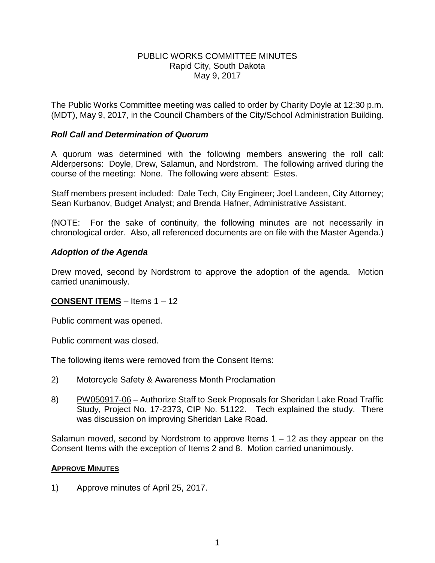### PUBLIC WORKS COMMITTEE MINUTES Rapid City, South Dakota May 9, 2017

The Public Works Committee meeting was called to order by Charity Doyle at 12:30 p.m. (MDT), May 9, 2017, in the Council Chambers of the City/School Administration Building.

## *Roll Call and Determination of Quorum*

A quorum was determined with the following members answering the roll call: Alderpersons: Doyle, Drew, Salamun, and Nordstrom. The following arrived during the course of the meeting: None. The following were absent: Estes.

Staff members present included: Dale Tech, City Engineer; Joel Landeen, City Attorney; Sean Kurbanov, Budget Analyst; and Brenda Hafner, Administrative Assistant.

(NOTE: For the sake of continuity, the following minutes are not necessarily in chronological order. Also, all referenced documents are on file with the Master Agenda.)

# *Adoption of the Agenda*

Drew moved, second by Nordstrom to approve the adoption of the agenda. Motion carried unanimously.

## **CONSENT ITEMS** – Items 1 – 12

Public comment was opened.

Public comment was closed.

The following items were removed from the Consent Items:

- 2) Motorcycle Safety & Awareness Month Proclamation
- 8) PW050917-06 Authorize Staff to Seek Proposals for Sheridan Lake Road Traffic Study, Project No. 17-2373, CIP No. 51122. Tech explained the study. There was discussion on improving Sheridan Lake Road.

Salamun moved, second by Nordstrom to approve Items  $1 - 12$  as they appear on the Consent Items with the exception of Items 2 and 8. Motion carried unanimously.

## **APPROVE MINUTES**

1) Approve minutes of April 25, 2017.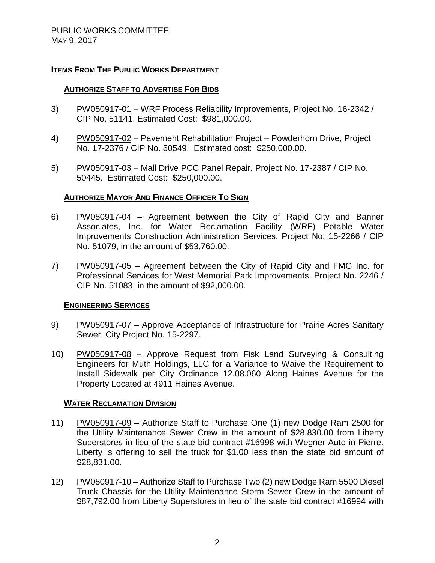## **ITEMS FROM THE PUBLIC WORKS DEPARTMENT**

## **AUTHORIZE STAFF TO ADVERTISE FOR BIDS**

- 3) PW050917-01 WRF Process Reliability Improvements, Project No. 16-2342 / CIP No. 51141. Estimated Cost: \$981,000.00.
- 4) PW050917-02 Pavement Rehabilitation Project Powderhorn Drive, Project No. 17-2376 / CIP No. 50549. Estimated cost: \$250,000.00.
- 5) PW050917-03 Mall Drive PCC Panel Repair, Project No. 17-2387 / CIP No. 50445. Estimated Cost: \$250,000.00.

### **AUTHORIZE MAYOR AND FINANCE OFFICER TO SIGN**

- 6) PW050917-04 Agreement between the City of Rapid City and Banner Associates, Inc. for Water Reclamation Facility (WRF) Potable Water Improvements Construction Administration Services, Project No. 15-2266 / CIP No. 51079, in the amount of \$53,760.00.
- 7) PW050917-05 Agreement between the City of Rapid City and FMG Inc. for Professional Services for West Memorial Park Improvements, Project No. 2246 / CIP No. 51083, in the amount of \$92,000.00.

#### **ENGINEERING SERVICES**

- 9) PW050917-07 Approve Acceptance of Infrastructure for Prairie Acres Sanitary Sewer, City Project No. 15-2297.
- 10) PW050917-08 Approve Request from Fisk Land Surveying & Consulting Engineers for Muth Holdings, LLC for a Variance to Waive the Requirement to Install Sidewalk per City Ordinance 12.08.060 Along Haines Avenue for the Property Located at 4911 Haines Avenue.

#### **WATER RECLAMATION DIVISION**

- 11) PW050917-09 Authorize Staff to Purchase One (1) new Dodge Ram 2500 for the Utility Maintenance Sewer Crew in the amount of \$28,830.00 from Liberty Superstores in lieu of the state bid contract #16998 with Wegner Auto in Pierre. Liberty is offering to sell the truck for \$1.00 less than the state bid amount of \$28,831.00.
- 12) PW050917-10 Authorize Staff to Purchase Two (2) new Dodge Ram 5500 Diesel Truck Chassis for the Utility Maintenance Storm Sewer Crew in the amount of \$87,792.00 from Liberty Superstores in lieu of the state bid contract #16994 with